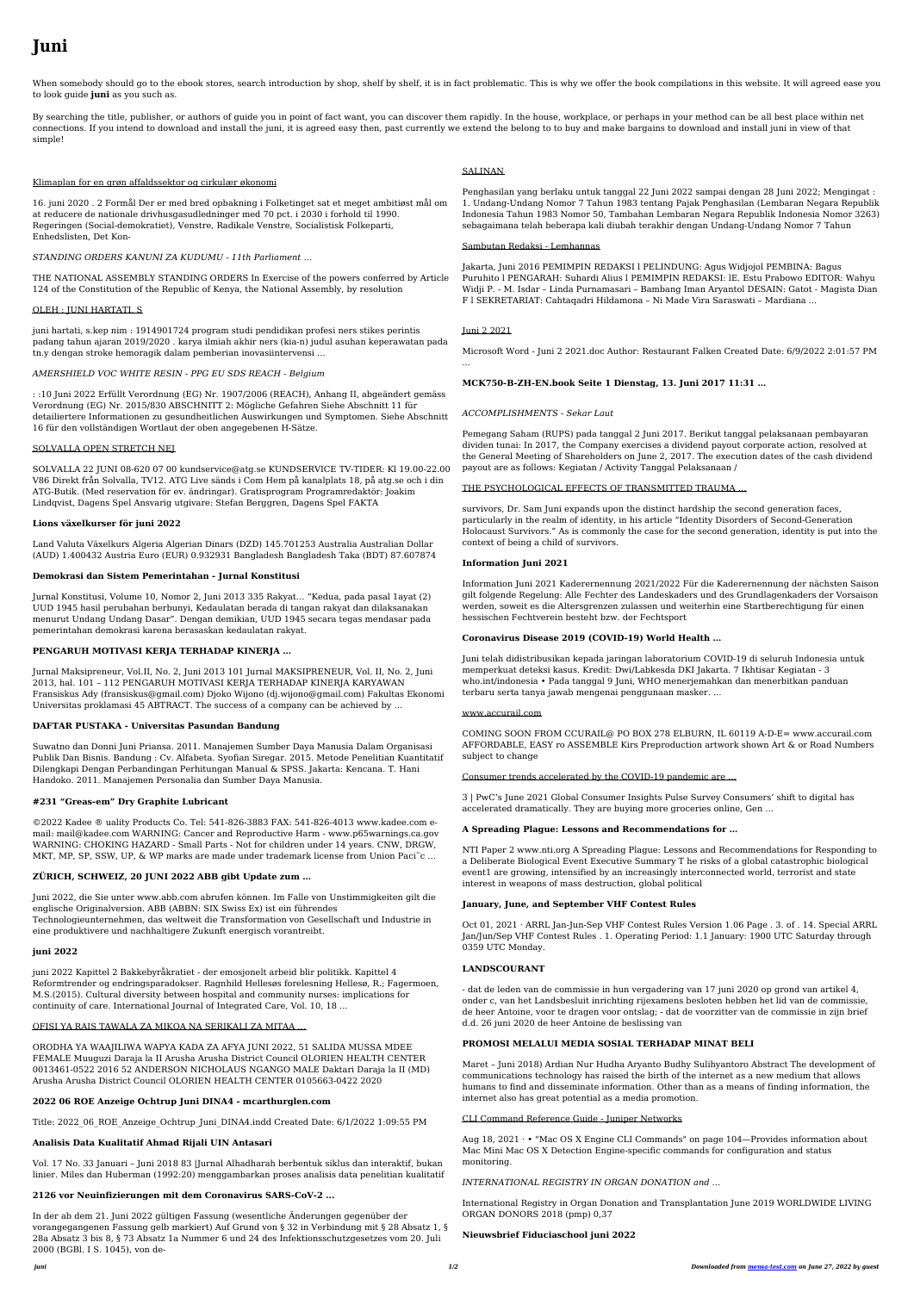# **Juni**

When somebody should go to the ebook stores, search introduction by shop, shelf by shelf, it is in fact problematic. This is why we offer the book compilations in this website. It will agreed ease you to look guide **juni** as you such as.

By searching the title, publisher, or authors of guide you in point of fact want, you can discover them rapidly. In the house, workplace, or perhaps in your method can be all best place within net connections. If you intend to download and install the juni, it is agreed easy then, past currently we extend the belong to to buy and make bargains to download and install juni in view of that simple!

## Klimaplan for en grøn affaldssektor og cirkulær økonomi

16. juni 2020 . 2 Formål Der er med bred opbakning i Folketinget sat et meget ambitiøst mål om at reducere de nationale drivhusgasudledninger med 70 pct. i 2030 i forhold til 1990. Regeringen (Social-demokratiet), Venstre, Radikale Venstre, Socialistisk Folkeparti, Enhedslisten, Det Kon-

# *STANDING ORDERS KANUNI ZA KUDUMU - 11th Parliament …*

THE NATIONAL ASSEMBLY STANDING ORDERS In Exercise of the powers conferred by Article 124 of the Constitution of the Republic of Kenya, the National Assembly, by resolution

## OLEH : JUNI HARTATI, S

juni hartati, s.kep nim : 1914901724 program studi pendidikan profesi ners stikes perintis padang tahun ajaran 2019/2020 . karya ilmiah akhir ners (kia-n) judul asuhan keperawatan pada tn.y dengan stroke hemoragik dalam pemberian inovasiintervensi …

## *AMERSHIELD VOC WHITE RESIN - PPG EU SDS REACH - Belgium*

: :10 Juni 2022 Erfüllt Verordnung (EG) Nr. 1907/2006 (REACH), Anhang II, abgeändert gemäss Verordnung (EG) Nr. 2015/830 ABSCHNITT 2: Mögliche Gefahren Siehe Abschnitt 11 für detailiertere Informationen zu gesundheitlichen Auswirkungen und Symptomen. Siehe Abschnitt 16 für den vollständigen Wortlaut der oben angegebenen H-Sätze.

©2022 Kadee ® uality Products Co. Tel: 541-826-3883 FAX: 541-826-4013 www.kadee.com email: mail@kadee.com WARNING: Cancer and Reproductive Harm - www.p65warnings.ca.gov WARNING: CHOKING HAZARD - Small Parts - Not for children under 14 years. CNW, DRGW, MKT, MP, SP, SSW, UP, & WP marks are made under trademark license from Union Paci<sup> $\sim$ </sup>c...

#### SOLVALLA OPEN STRETCH NEJ

SOLVALLA 22 JUNI 08-620 07 00 kundservice@atg.se KUNDSERVICE TV-TIDER: Kl 19.00-22.00 V86 Direkt från Solvalla, TV12. ATG Live sänds i Com Hem på kanalplats 18, på atg.se och i din ATG-Butik. (Med reservation för ev. ändringar). Gratisprogram Programredaktör: Joakim Lindqvist, Dagens Spel Ansvarig utgivare: Stefan Berggren, Dagens Spel FAKTA

## **Lions växelkurser för juni 2022**

Land Valuta Växelkurs Algeria Algerian Dinars (DZD) 145.701253 Australia Australian Dollar (AUD) 1.400432 Austria Euro (EUR) 0.932931 Bangladesh Bangladesh Taka (BDT) 87.607874

## **Demokrasi dan Sistem Pemerintahan - Jurnal Konstitusi**

Jurnal Konstitusi, Volume 10, Nomor 2, Juni 2013 335 Rakyat… "Kedua, pada pasal 1ayat (2) UUD 1945 hasil perubahan berbunyi, Kedaulatan berada di tangan rakyat dan dilaksanakan menurut Undang Undang Dasar". Dengan demikian, UUD 1945 secara tegas mendasar pada pemerintahan demokrasi karena berasaskan kedaulatan rakyat.

# **PENGARUH MOTIVASI KERJA TERHADAP KINERJA …**

Jurnal Maksipreneur, Vol.II, No. 2, Juni 2013 101 Jurnal MAKSIPRENEUR, Vol. II, No. 2, Juni 2013, hal. 101 – 112 PENGARUH MOTIVASI KERJA TERHADAP KINERJA KARYAWAN

Fransiskus Ady (fransiskus@gmail.com) Djoko Wijono (dj.wijono@gmail.com) Fakultas Ekonomi Universitas proklamasi 45 ABTRACT. The success of a company can be achieved by …

# **DAFTAR PUSTAKA - Universitas Pasundan Bandung**

Suwatno dan Donni Juni Priansa. 2011. Manajemen Sumber Daya Manusia Dalam Organisasi Publik Dan Bisnis. Bandung : Cv. Alfabeta. Syofian Siregar. 2015. Metode Penelitian Kuantitatif Dilengkapi Dengan Perbandingan Perhitungan Manual & SPSS. Jakarta: Kencana. T. Hani Handoko. 2011. Manajemen Personalia dan Sumber Daya Manusia.

# **#231 "Greas-em" Dry Graphite Lubricant**

# **ZÜRICH, SCHWEIZ, 20 JUNI 2022 ABB gibt Update zum …**

Juni 2022, die Sie unter www.abb.com abrufen können. Im Falle von Unstimmigkeiten gilt die englische Originalversion. ABB (ABBN: SIX Swiss Ex) ist ein führendes

Technologieunternehmen, das weltweit die Transformation von Gesellschaft und Industrie in eine produktivere und nachhaltigere Zukunft energisch vorantreibt.

# **juni 2022**

juni 2022 Kapittel 2 Bakkebyråkratiet - der emosjonelt arbeid blir politikk. Kapittel 4 Reformtrender og endringsparadokser. Ragnhild Hellesøs forelesning Hellesø, R.; Fagermoen, M.S.(2015). Cultural diversity between hospital and community nurses: implications for continuity of care. International Journal of Integrated Care, Vol. 10, 18 ...

# OFISI YA RAIS TAWALA ZA MIKOA NA SERIKALI ZA MITAA …

ORODHA YA WAAJILIWA WAPYA KADA ZA AFYA JUNI 2022, 51 SALIDA MUSSA MDEE FEMALE Muuguzi Daraja la II Arusha Arusha District Council OLORIEN HEALTH CENTER 0013461-0522 2016 52 ANDERSON NICHOLAUS NGANGO MALE Daktari Daraja la II (MD) Arusha Arusha District Council OLORIEN HEALTH CENTER 0105663-0422 2020

# **2022 06 ROE Anzeige Ochtrup Juni DINA4 - mcarthurglen.com**

Title: 2022\_06\_ROE\_Anzeige\_Ochtrup\_Juni\_DINA4.indd Created Date: 6/1/2022 1:09:55 PM

# **Analisis Data Kualitatif Ahmad Rijali UIN Antasari**

Vol. 17 No. 33 Januari – Juni 2018 83 |Jurnal Alhadharah berbentuk siklus dan interaktif, bukan linier. Miles dan Huberman (1992:20) menggambarkan proses analisis data penelitian kualitatif

# **2126 vor Neuinfizierungen mit dem Coronavirus SARS-CoV-2 ...**

In der ab dem 21. Juni 2022 gültigen Fassung (wesentliche Änderungen gegenüber der vorangegangenen Fassung gelb markiert) Auf Grund von § 32 in Verbindung mit § 28 Absatz 1, § 28a Absatz 3 bis 8, § 73 Absatz 1a Nummer 6 und 24 des Infektionsschutzgesetzes vom 20. Juli 2000 (BGBl. I S. 1045), von de-

# SALINAN

Penghasilan yang berlaku untuk tanggal 22 Juni 2022 sampai dengan 28 Juni 2022; Mengingat : 1. Undang-Undang Nomor 7 Tahun 1983 tentang Pajak Penghasilan (Lembaran Negara Republik Indonesia Tahun 1983 Nomor 50, Tambahan Lembaran Negara Republik Indonesia Nomor 3263) sebagaimana telah beberapa kali diubah terakhir dengan Undang-Undang Nomor 7 Tahun

## Sambutan Redaksi - Lemhannas

Jakarta, Juni 2016 PEMIMPIN REDAKSI l PELINDUNG: Agus Widjojol PEMBINA: Bagus Puruhito l PENGARAH: Suhardi Alius l PEMIMPIN REDAKSI: lE. Estu Prabowo EDITOR: Wahyu Widji P. - M. Isdar – Linda Purnamasari – Bambang Iman Aryantol DESAIN: Gatot - Magista Dian F l SEKRETARIAT: Cahtaqadri Hildamona – Ni Made Vira Saraswati – Mardiana ...

# Juni 2 2021

Microsoft Word - Juni 2 2021.doc Author: Restaurant Falken Created Date: 6/9/2022 2:01:57 PM

...

## **MCK750-B-ZH-EN.book Seite 1 Dienstag, 13. Juni 2017 11:31 …**

# *ACCOMPLISHMENTS - Sekar Laut*

Pemegang Saham (RUPS) pada tanggal 2 Juni 2017. Berikut tanggal pelaksanaan pembayaran dividen tunai: In 2017, the Company exercises a dividend payout corporate action, resolved at the General Meeting of Shareholders on June 2, 2017. The execution dates of the cash dividend payout are as follows: Kegiatan / Activity Tanggal Pelaksanaan /

## THE PSYCHOLOGICAL EFFECTS OF TRANSMITTED TRAUMA …

survivors, Dr. Sam Juni expands upon the distinct hardship the second generation faces, particularly in the realm of identity, in his article "Identity Disorders of Second-Generation Holocaust Survivors." As is commonly the case for the second generation, identity is put into the context of being a child of survivors.

## **Information Juni 2021**

Information Juni 2021 Kaderernennung 2021/2022 Für die Kaderernennung der nächsten Saison gilt folgende Regelung: Alle Fechter des Landeskaders und des Grundlagenkaders der Vorsaison werden, soweit es die Altersgrenzen zulassen und weiterhin eine Startberechtigung für einen hessischen Fechtverein besteht bzw. der Fechtsport

## **Coronavirus Disease 2019 (COVID-19) World Health …**

Juni telah didistribusikan kepada jaringan laboratorium COVID-19 di seluruh Indonesia untuk memperkuat deteksi kasus. Kredit: Dwi/Labkesda DKI Jakarta. 7 Ikhtisar Kegiatan - 3 who.int/indonesia • Pada tanggal 9 Juni, WHO menerjemahkan dan menerbitkan panduan terbaru serta tanya jawab mengenai penggunaan masker. ...

#### www.accurail.com

COMING SOON FROM CCURAIL@ PO BOX 278 ELBURN, IL 60119 A-D-E= www.accurail.com AFFORDABLE, EASY ro ASSEMBLE Kirs Preproduction artwork shown Art & or Road Numbers subject to change

## Consumer trends accelerated by the COVID-19 pandemic are …

3 | PwC's June 2021 Global Consumer Insights Pulse Survey Consumers' shift to digital has accelerated dramatically. They are buying more groceries online, Gen …

# **A Spreading Plague: Lessons and Recommendations for …**

NTI Paper 2 www.nti.org A Spreading Plague: Lessons and Recommendations for Responding to a Deliberate Biological Event Executive Summary T he risks of a global catastrophic biological event1 are growing, intensified by an increasingly interconnected world, terrorist and state interest in weapons of mass destruction, global political

# **January, June, and September VHF Contest Rules**

Oct 01, 2021 · ARRL Jan-Jun-Sep VHF Contest Rules Version 1.06 Page . 3. of . 14. Special ARRL Jan/Jun/Sep VHF Contest Rules . 1. Operating Period: 1.1 January: 1900 UTC Saturday through 0359 UTC Monday.

# **LANDSCOURANT**

- dat de leden van de commissie in hun vergadering van 17 juni 2020 op grond van artikel 4, onder c, van het Landsbesluit inrichting rijexamens besloten hebben het lid van de commissie, de heer Antoine, voor te dragen voor ontslag; - dat de voorzitter van de commissie in zijn brief d.d. 26 juni 2020 de heer Antoine de beslissing van

# **PROMOSI MELALUI MEDIA SOSIAL TERHADAP MINAT BELI**

Maret – Juni 2018) Ardian Nur Hudha Aryanto Budhy Sulihyantoro Abstract The development of communications technology has raised the birth of the internet as a new medium that allows humans to find and disseminate information. Other than as a means of finding information, the internet also has great potential as a media promotion.

# CLI Command Reference Guide - Juniper Networks

Aug 18, 2021 · • "Mac OS X Engine CLI Commands" on page 104—Provides information about Mac Mini Mac OS X Detection Engine-specific commands for configuration and status monitoring.

# *INTERNATIONAL REGISTRY IN ORGAN DONATION and …*

International Registry in Organ Donation and Transplantation June 2019 WORLDWIDE LIVING ORGAN DONORS 2018 (pmp) 0,37

# **Nieuwsbrief Fiduciaschool juni 2022**